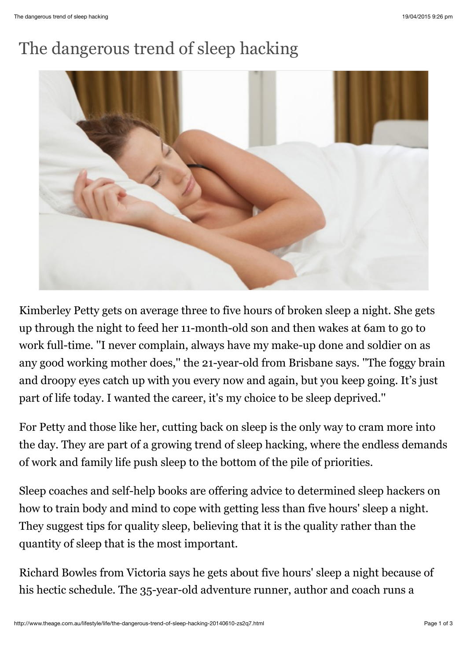## The dangerous trend of sleep hacking



Kimberley Petty gets on average three to five hours of broken sleep a night. She gets up through the night to feed her 11-month-old son and then wakes at 6am to go to work full-time. ''I never complain, always have my make-up done and soldier on as any good working mother does,'' the 21-year-old from Brisbane says. ''The foggy brain and droopy eyes catch up with you every now and again, but you keep going. It's just part of life today. I wanted the career, it's my choice to be sleep deprived.''

For Petty and those like her, cutting back on sleep is the only way to cram more into the day. They are part of a growing trend of sleep hacking, where the endless demands of work and family life push sleep to the bottom of the pile of priorities.

Sleep coaches and self-help books are offering advice to determined sleep hackers on how to train body and mind to cope with getting less than five hours' sleep a night. They suggest tips for quality sleep, believing that it is the quality rather than the quantity of sleep that is the most important.

Richard Bowles from Victoria says he gets about five hours' sleep a night because of his hectic schedule. The 35-year-old adventure runner, author and coach runs a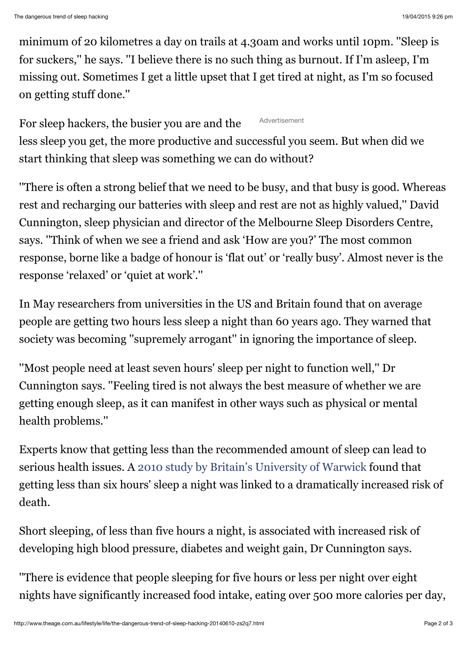minimum of 20 kilometres a day on trails at 4.30am and works until 10pm. ''Sleep is for suckers,'' he says. ''I believe there is no such thing as burnout. If I'm asleep, I'm missing out. Sometimes I get a little upset that I get tired at night, as I'm so focused on getting stuff done.''

Advertisement For sleep hackers, the busier you are and the less sleep you get, the more productive and successful you seem. But when did we start thinking that sleep was something we can do without?

''There is often a strong belief that we need to be busy, and that busy is good. Whereas rest and recharging our batteries with sleep and rest are not as highly valued,'' David Cunnington, sleep physician and director of the Melbourne Sleep Disorders Centre, says. ''Think of when we see a friend and ask 'How are you?' The most common response, borne like a badge of honour is 'flat out' or 'really busy'. Almost never is the response 'relaxed' or 'quiet at work'.''

In May researchers from universities in the US and Britain found that on average people are getting two hours less sleep a night than 60 years ago. They warned that society was becoming ''supremely arrogant'' in ignoring the importance of sleep.

''Most people need at least seven hours' sleep per night to function well,'' Dr Cunnington says. ''Feeling tired is not always the best measure of whether we are getting enough sleep, as it can manifest in other ways such as physical or mental health problems.''

Experts know that getting less than the recommended amount of sleep can lead to serious health issues. A [2010 study by Britain's University of Warwick](http://www2.warwick.ac.uk/newsandevents/pressreleases/short_sleep_increases/) found that getting less than six hours' sleep a night was linked to a dramatically increased risk of death.

Short sleeping, of less than five hours a night, is associated with increased risk of developing high blood pressure, diabetes and weight gain, Dr Cunnington says.

''There is evidence that people sleeping for five hours or less per night over eight nights have significantly increased food intake, eating over 500 more calories per day,